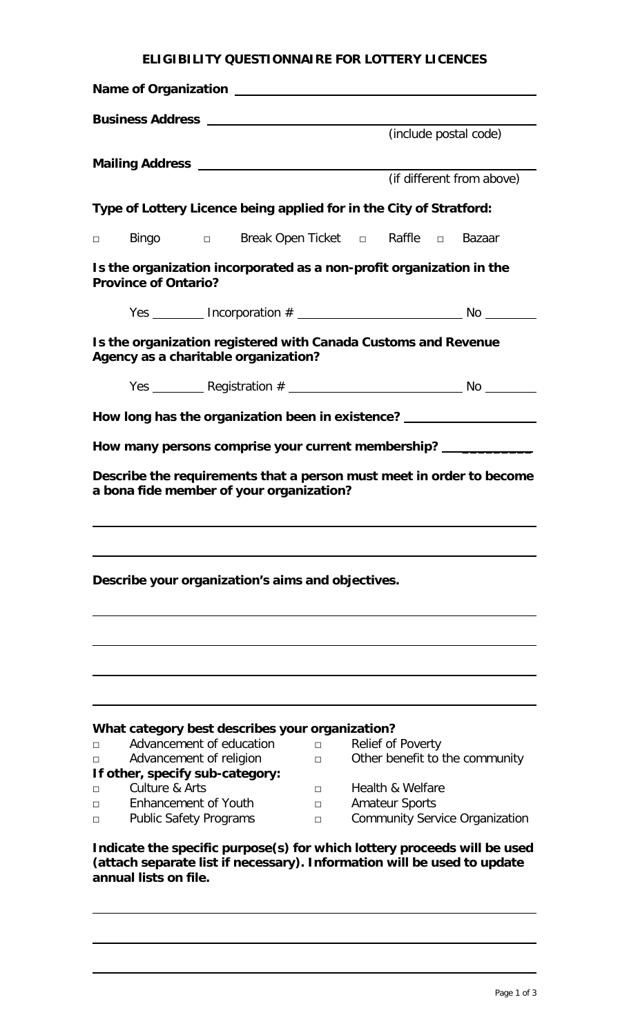## **ELIGIBILITY QUESTIONNAIRE FOR LOTTERY LICENCES**

|                                                                                                                                                                              |                                                              |  |                                                   |        |  | (include postal code)                                               |                                                                      |  |  |
|------------------------------------------------------------------------------------------------------------------------------------------------------------------------------|--------------------------------------------------------------|--|---------------------------------------------------|--------|--|---------------------------------------------------------------------|----------------------------------------------------------------------|--|--|
|                                                                                                                                                                              |                                                              |  |                                                   |        |  |                                                                     |                                                                      |  |  |
|                                                                                                                                                                              |                                                              |  |                                                   |        |  | (if different from above)                                           |                                                                      |  |  |
|                                                                                                                                                                              |                                                              |  |                                                   |        |  | Type of Lottery Licence being applied for in the City of Stratford: |                                                                      |  |  |
|                                                                                                                                                                              |                                                              |  |                                                   |        |  | □ Bingo □ Break Open Ticket □ Raffle □ Bazaar                       |                                                                      |  |  |
| Is the organization incorporated as a non-profit organization in the<br><b>Province of Ontario?</b>                                                                          |                                                              |  |                                                   |        |  |                                                                     |                                                                      |  |  |
|                                                                                                                                                                              |                                                              |  |                                                   |        |  |                                                                     |                                                                      |  |  |
| Is the organization registered with Canada Customs and Revenue<br>Agency as a charitable organization?                                                                       |                                                              |  |                                                   |        |  |                                                                     |                                                                      |  |  |
|                                                                                                                                                                              |                                                              |  |                                                   |        |  |                                                                     |                                                                      |  |  |
| How long has the organization been in existence? _______________________________                                                                                             |                                                              |  |                                                   |        |  |                                                                     |                                                                      |  |  |
| How many persons comprise your current membership? ______________                                                                                                            |                                                              |  |                                                   |        |  |                                                                     |                                                                      |  |  |
|                                                                                                                                                                              |                                                              |  |                                                   |        |  |                                                                     | Describe the requirements that a person must meet in order to become |  |  |
|                                                                                                                                                                              |                                                              |  | a bona fide member of your organization?          |        |  |                                                                     |                                                                      |  |  |
|                                                                                                                                                                              |                                                              |  |                                                   |        |  |                                                                     |                                                                      |  |  |
|                                                                                                                                                                              |                                                              |  |                                                   |        |  |                                                                     |                                                                      |  |  |
|                                                                                                                                                                              |                                                              |  |                                                   |        |  |                                                                     |                                                                      |  |  |
|                                                                                                                                                                              |                                                              |  | Describe your organization's aims and objectives. |        |  |                                                                     |                                                                      |  |  |
|                                                                                                                                                                              |                                                              |  |                                                   |        |  |                                                                     |                                                                      |  |  |
|                                                                                                                                                                              |                                                              |  |                                                   |        |  |                                                                     |                                                                      |  |  |
|                                                                                                                                                                              |                                                              |  |                                                   |        |  |                                                                     |                                                                      |  |  |
|                                                                                                                                                                              |                                                              |  |                                                   |        |  |                                                                     |                                                                      |  |  |
|                                                                                                                                                                              |                                                              |  |                                                   |        |  |                                                                     |                                                                      |  |  |
| П                                                                                                                                                                            | Advancement of education                                     |  | What category best describes your organization?   | $\Box$ |  | <b>Relief of Poverty</b>                                            |                                                                      |  |  |
| П                                                                                                                                                                            | Advancement of religion                                      |  |                                                   | П      |  | Other benefit to the community                                      |                                                                      |  |  |
|                                                                                                                                                                              | If other, specify sub-category:                              |  |                                                   |        |  |                                                                     |                                                                      |  |  |
| П                                                                                                                                                                            | Culture & Arts                                               |  |                                                   | П.     |  | Health & Welfare                                                    |                                                                      |  |  |
| П<br>П                                                                                                                                                                       | <b>Enhancement of Youth</b><br><b>Public Safety Programs</b> |  |                                                   | П<br>П |  | <b>Amateur Sports</b>                                               | <b>Community Service Organization</b>                                |  |  |
| Indicate the specific purpose(s) for which lottery proceeds will be used<br>(attach separate list if necessary). Information will be used to update<br>annual lists on file. |                                                              |  |                                                   |        |  |                                                                     |                                                                      |  |  |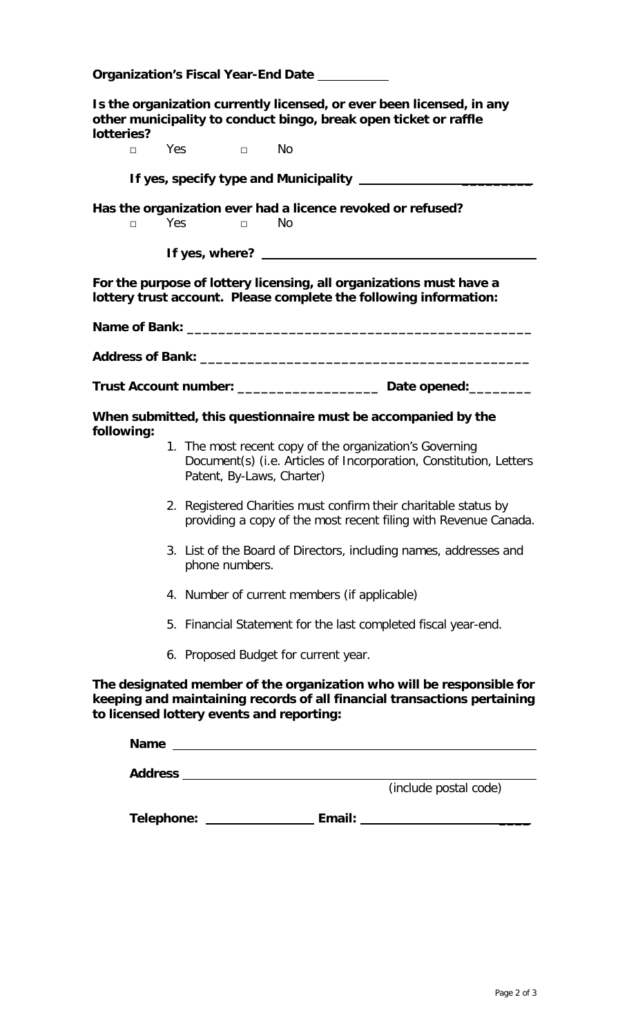| Organization's Fiscal Year-End Date                                                                                                                                                            |                                                                                                                                                            |  |  |  |  |  |  |
|------------------------------------------------------------------------------------------------------------------------------------------------------------------------------------------------|------------------------------------------------------------------------------------------------------------------------------------------------------------|--|--|--|--|--|--|
| Is the organization currently licensed, or ever been licensed, in any<br>other municipality to conduct bingo, break open ticket or raffle<br>lotteries?                                        |                                                                                                                                                            |  |  |  |  |  |  |
| $\Box$                                                                                                                                                                                         | Yes □ No                                                                                                                                                   |  |  |  |  |  |  |
|                                                                                                                                                                                                |                                                                                                                                                            |  |  |  |  |  |  |
| $\Box$                                                                                                                                                                                         | Has the organization ever had a licence revoked or refused?<br>Yes<br>No<br>$\Box$                                                                         |  |  |  |  |  |  |
|                                                                                                                                                                                                |                                                                                                                                                            |  |  |  |  |  |  |
| For the purpose of lottery licensing, all organizations must have a<br>lottery trust account. Please complete the following information:                                                       |                                                                                                                                                            |  |  |  |  |  |  |
|                                                                                                                                                                                                |                                                                                                                                                            |  |  |  |  |  |  |
|                                                                                                                                                                                                |                                                                                                                                                            |  |  |  |  |  |  |
|                                                                                                                                                                                                | Trust Account number: ______________________ Date opened: _________                                                                                        |  |  |  |  |  |  |
| When submitted, this questionnaire must be accompanied by the<br>following:                                                                                                                    |                                                                                                                                                            |  |  |  |  |  |  |
|                                                                                                                                                                                                | 1. The most recent copy of the organization's Governing<br>Document(s) (i.e. Articles of Incorporation, Constitution, Letters<br>Patent, By-Laws, Charter) |  |  |  |  |  |  |
|                                                                                                                                                                                                | 2. Registered Charities must confirm their charitable status by<br>providing a copy of the most recent filing with Revenue Canada.                         |  |  |  |  |  |  |
|                                                                                                                                                                                                | 3. List of the Board of Directors, including names, addresses and<br>phone numbers.                                                                        |  |  |  |  |  |  |
|                                                                                                                                                                                                | 4. Number of current members (if applicable)                                                                                                               |  |  |  |  |  |  |
|                                                                                                                                                                                                | 5. Financial Statement for the last completed fiscal year-end.                                                                                             |  |  |  |  |  |  |
|                                                                                                                                                                                                | 6. Proposed Budget for current year.                                                                                                                       |  |  |  |  |  |  |
| The designated member of the organization who will be responsible for<br>keeping and maintaining records of all financial transactions pertaining<br>to licensed lottery events and reporting: |                                                                                                                                                            |  |  |  |  |  |  |
|                                                                                                                                                                                                | Name                                                                                                                                                       |  |  |  |  |  |  |
| (include postal code)                                                                                                                                                                          |                                                                                                                                                            |  |  |  |  |  |  |
|                                                                                                                                                                                                |                                                                                                                                                            |  |  |  |  |  |  |

**Telephone: Email: \_\_\_\_**